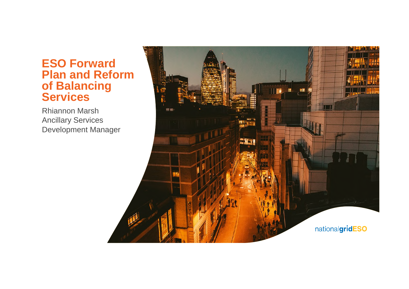### **ESO Forward Plan and Reform of Balancing Services**

Rhiannon Marsh Ancillary Services Development Manager

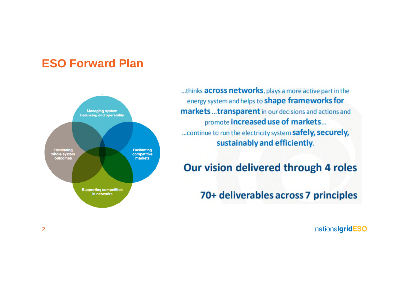# **ESO Forward Plan**



...thinks across networks, plays a more active part in the energy system and helps to shape frameworks for markets ... transparent in our decisions and actions and promote increased use of markets... ... continue to run the electricity system safely, securely, sustainably and efficiently.

### Our vision delivered through 4 roles

70+ deliverables across 7 principles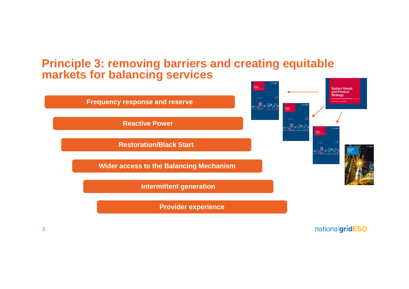### **Principle 3: removing barriers and creating equitable markets for balancing services**

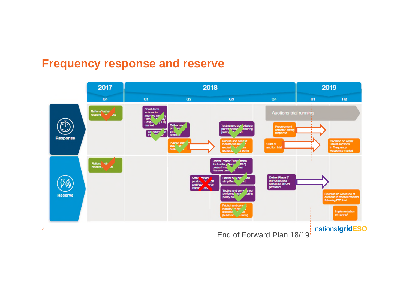### **Frequency response and reserve**



4

End of Forward Plan 18/19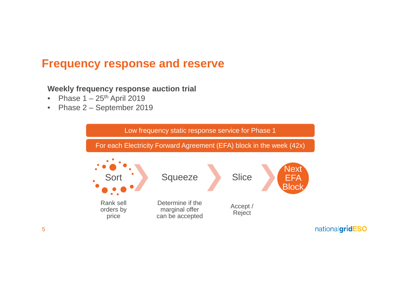# **Frequency response and reserve**

**Weekly frequency response auction trial**

- Phase  $1 25$ <sup>th</sup> April 2019
- Phase 2 September 2019

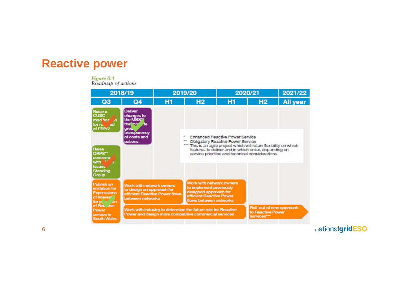#### **Reactive power**

#### Figure 0.1

Roadmap of actions

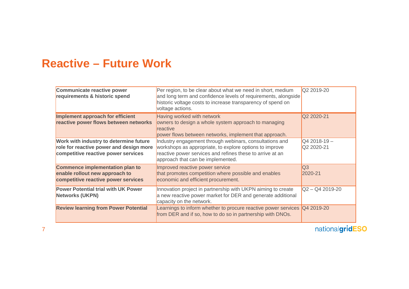# **Reactive – Future Work**

| Communicate reactive power<br>requirements & historic spend                                                              | Per region, to be clear about what we need in short, medium<br>and long term and confidence levels of requirements, alongside<br>historic voltage costs to increase transparency of spend on<br>voltage actions.     | Q2 2019-20                 |
|--------------------------------------------------------------------------------------------------------------------------|----------------------------------------------------------------------------------------------------------------------------------------------------------------------------------------------------------------------|----------------------------|
| Implement approach for efficient<br>reactive power flows between networks                                                | Having worked with network<br>owners to design a whole system approach to managing<br>reactive<br>power flows between networks, implement that approach.                                                             | Q2 2020-21                 |
| Work with industry to determine future<br>role for reactive power and design more<br>competitive reactive power services | Industry engagement through webinars, consultations and<br>workshops as appropriate, to explore options to improve<br>reactive power services and refines these to arrive at an<br>approach that can be implemented. | $Q42018-19-$<br>Q2 2020-21 |
| Commence implementation plan to<br>enable rollout new approach to<br>competitive reactive power services                 | Improved reactive power service<br>that promotes competition where possible and enables<br>economic and efficient procurement.                                                                                       | $\overline{Q}3$<br>2020-21 |
| <b>Power Potential trial with UK Power</b><br><b>Networks (UKPN)</b>                                                     | Innovation project in partnership with UKPN aiming to create<br>a new reactive power market for DER and generate additional<br>capacity on the network.                                                              | $Q2 - Q4 2019 - 20$        |
| <b>Review learning from Power Potential</b>                                                                              | Learnings to inform whether to procure reactive power services<br>from DER and if so, how to do so in partnership with DNOs.                                                                                         | Q4 2019-20                 |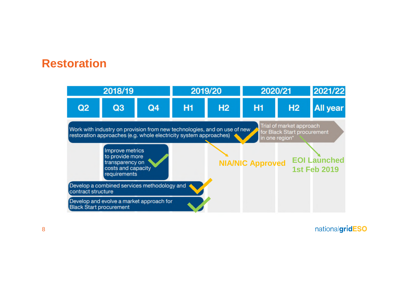## **Restoration**

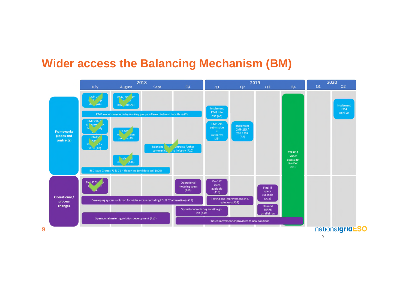### **Wider access the Balancing Mechanism (BM)**

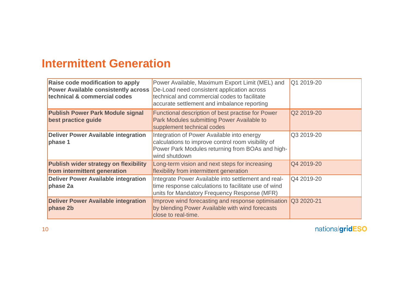# **Intermittent Generation**

| Raise code modification to apply<br><b>Power Available consistently across</b><br>technical & commercial codes | Power Available, Maximum Export Limit (MEL) and<br>De-Load need consistent application across<br>technical and commercial codes to facilitate<br>accurate settlement and imbalance reporting | Q1 2019-20 |
|----------------------------------------------------------------------------------------------------------------|----------------------------------------------------------------------------------------------------------------------------------------------------------------------------------------------|------------|
| <b>Publish Power Park Module signal</b><br>best practice guide                                                 | <b>Functional description of best practise for Power</b><br>Park Modules submitting Power Available to<br>supplement technical codes                                                         | Q2 2019-20 |
| <b>Deliver Power Available integration</b><br>phase 1                                                          | Integration of Power Available into energy<br>calculations to improve control room visibility of<br>Power Park Modules returning from BOAs and high-<br>wind shutdown                        | Q3 2019-20 |
| <b>Publish wider strategy on flexibility</b><br>from intermittent generation                                   | Long-term vision and next steps for increasing<br>flexibility from intermittent generation                                                                                                   | Q4 2019-20 |
| <b>Deliver Power Available integration</b><br>phase 2a                                                         | Integrate Power Available into settlement and real-<br>time response calculations to facilitate use of wind<br>units for Mandatory Frequency Response (MFR)                                  | Q4 2019-20 |
| <b>Deliver Power Available integration</b><br>phase 2b                                                         | Improve wind forecasting and response optimisation<br>by blending Power Available with wind forecasts<br>close to real-time.                                                                 | Q3 2020-21 |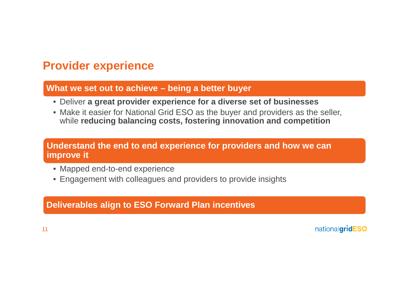# **Provider experience**

#### **What we set out to achieve – being a better buyer**

- Deliver **a great provider experience for a diverse set of businesses**
- Make it easier for National Grid ESO as the buyer and providers as the seller, while **reducing balancing costs, fostering innovation and competition**

#### **Understand the end to end experience for providers and how we can improve it**

- Mapped end-to-end experience
- Engagement with colleagues and providers to provide insights

#### **Deliverables align to ESO Forward Plan incentives**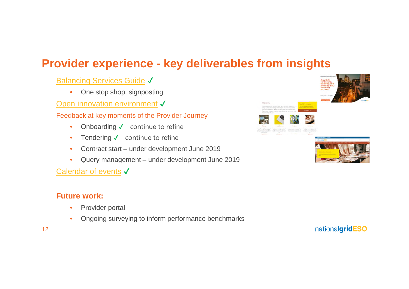# **Provider experience - key deliverables from insights**

**Balancing Services Guide √** 

• One stop shop, signposting

Open innovation environment √

Feedback at key moments of the Provider Journey

- Onboarding  $\checkmark$  continue to refine
- Tendering  $\checkmark$  continue to refine
- Contract start under development June 2019
- Query management under development June 2019

#### Calendar of events √

#### **Future work:**

- Provider portal
- Ongoing surveying to inform performance benchmarks







12